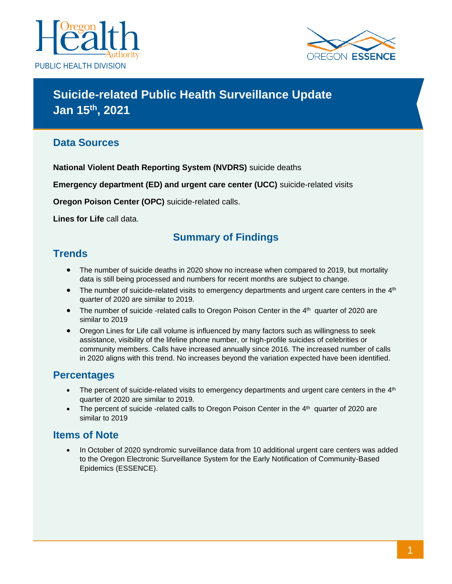



# **Suicide-related Public Health Surveillance Update Jan 15 th, 2021**

### **Data Sources**

**National Violent Death Reporting System (NVDRS)** suicide deaths

**Emergency department (ED) and urgent care center (UCC)** suicide-related visits

**Oregon Poison Center (OPC)** suicide-related calls.

**Lines for Life** call data.

### **Summary of Findings**

#### **Trends**

- The number of suicide deaths in 2020 show no increase when compared to 2019, but mortality data is still being processed and numbers for recent months are subject to change.
- The number of suicide-related visits to emergency departments and urgent care centers in the 4<sup>th</sup> quarter of 2020 are similar to 2019.
- The number of suicide -related calls to Oregon Poison Center in the 4<sup>th</sup> quarter of 2020 are similar to 2019
- Oregon Lines for Life call volume is influenced by many factors such as willingness to seek assistance, visibility of the lifeline phone number, or high-profile suicides of celebrities or community members. Calls have increased annually since 2016. The increased number of calls in 2020 aligns with this trend. No increases beyond the variation expected have been identified.

### **Percentages**

- The percent of suicide-related visits to emergency departments and urgent care centers in the  $4<sup>th</sup>$ quarter of 2020 are similar to 2019.
- The percent of suicide -related calls to Oregon Poison Center in the 4<sup>th</sup> quarter of 2020 are similar to 2019

### **Items of Note**

• In October of 2020 syndromic surveillance data from 10 additional urgent care centers was added to the Oregon Electronic Surveillance System for the Early Notification of Community-Based Epidemics (ESSENCE).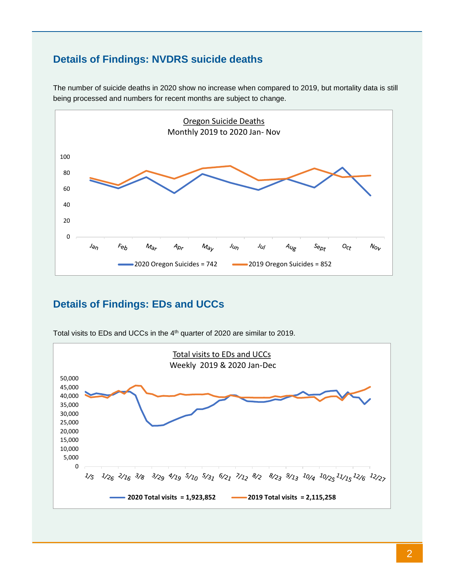# **Details of Findings: NVDRS suicide deaths**



The number of suicide deaths in 2020 show no increase when compared to 2019, but mortality data is still being processed and numbers for recent months are subject to change.

# **Details of Findings: EDs and UCCs**



Total visits to EDs and UCCs in the 4<sup>th</sup> quarter of 2020 are similar to 2019.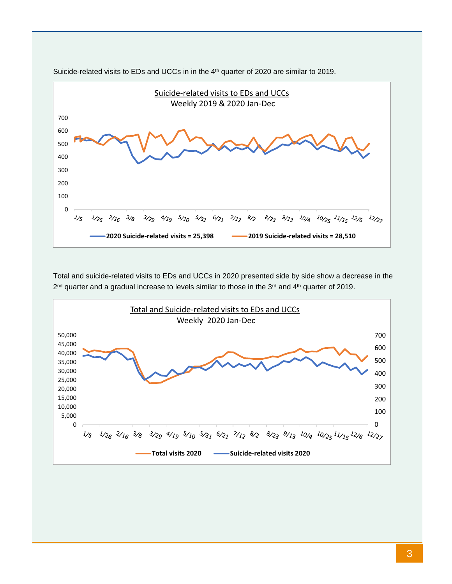

Suicide-related visits to EDs and UCCs in in the 4<sup>th</sup> quarter of 2020 are similar to 2019.

Total and suicide-related visits to EDs and UCCs in 2020 presented side by side show a decrease in the 2<sup>nd</sup> quarter and a gradual increase to levels similar to those in the 3<sup>rd</sup> and 4<sup>th</sup> quarter of 2019.

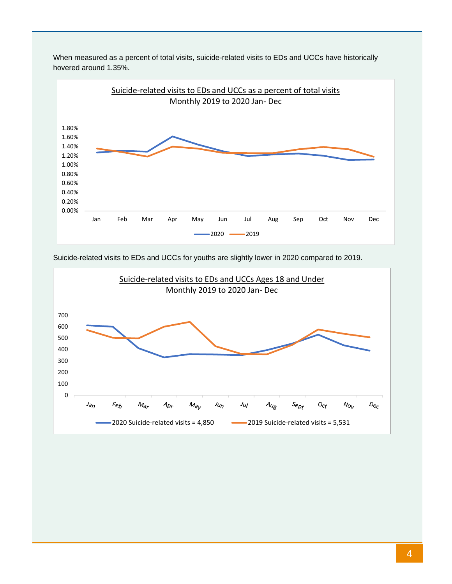

When measured as a percent of total visits, suicide-related visits to EDs and UCCs have historically hovered around 1.35%.

Suicide-related visits to EDs and UCCs for youths are slightly lower in 2020 compared to 2019.

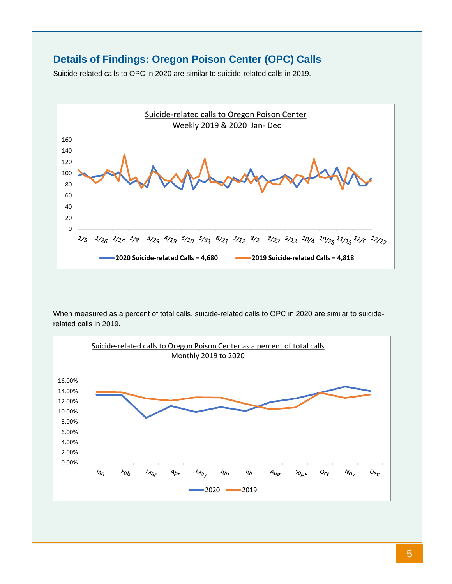### **Details of Findings: Oregon Poison Center (OPC) Calls**

Suicide-related calls to OPC in 2020 are similar to suicide-related calls in 2019.



When measured as a percent of total calls, suicide-related calls to OPC in 2020 are similar to suiciderelated calls in 2019.

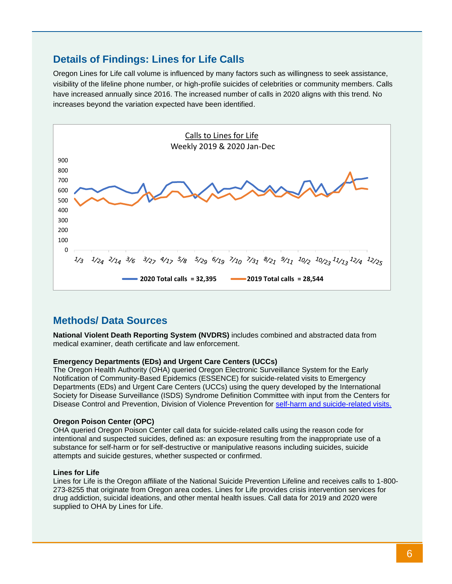### **Details of Findings: Lines for Life Calls**

Oregon Lines for Life call volume is influenced by many factors such as willingness to seek assistance, visibility of the lifeline phone number, or high-profile suicides of celebrities or community members. Calls have increased annually since 2016. The increased number of calls in 2020 aligns with this trend. No increases beyond the variation expected have been identified.



### **Methods/ Data Sources**

**National Violent Death Reporting System (NVDRS)** includes combined and abstracted data from medical examiner, death certificate and law enforcement.

#### **Emergency Departments (EDs) and Urgent Care Centers (UCCs)**

The Oregon Health Authority (OHA) queried Oregon Electronic Surveillance System for the Early Notification of Community-Based Epidemics (ESSENCE) for suicide-related visits to Emergency Departments (EDs) and Urgent Care Centers (UCCs) using the query developed by the International Society for Disease Surveillance (ISDS) Syndrome Definition Committee with input from the Centers for Disease Control and Prevention, Division of Violence Prevention for [self-harm and suicide-related visits.](https://knowledgerepository.syndromicsurveillance.org/self-harm-and-suicide-related-syndrome-definition-committee)

#### **Oregon Poison Center (OPC)**

OHA queried Oregon Poison Center call data for suicide-related calls using the reason code for intentional and suspected suicides, defined as: an exposure resulting from the inappropriate use of a substance for self-harm or for self-destructive or manipulative reasons including suicides, suicide attempts and suicide gestures, whether suspected or confirmed.

#### **Lines for Life**

Lines for Life is the Oregon affiliate of the National Suicide Prevention Lifeline and receives calls to 1-800- 273-8255 that originate from Oregon area codes. Lines for Life provides crisis intervention services for drug addiction, suicidal ideations, and other mental health issues. Call data for 2019 and 2020 were supplied to OHA by Lines for Life.